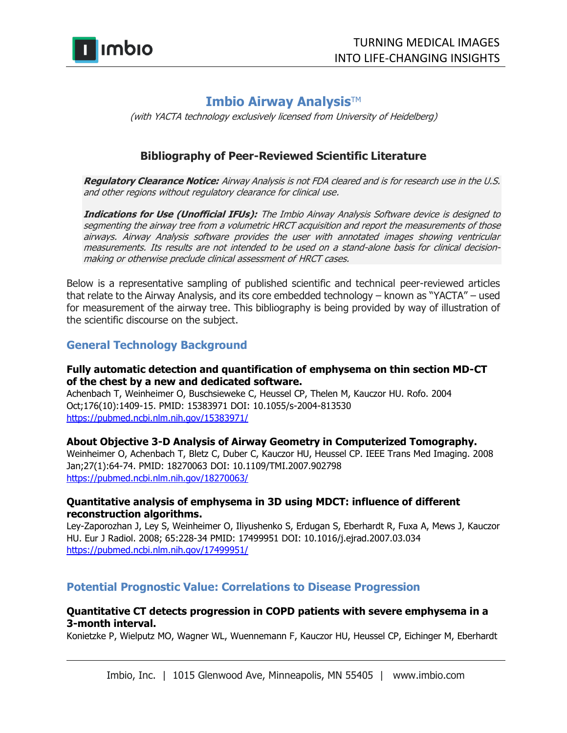

# **Imbio Airway Analysis™**

(with YACTA technology exclusively licensed from University of Heidelberg)

## **Bibliography of Peer-Reviewed Scientific Literature**

**Regulatory Clearance Notice:** Airway Analysis is not FDA cleared and is for research use in the U.S. and other regions without regulatory clearance for clinical use.

**Indications for Use (Unofficial IFUs):** The Imbio Airway Analysis Software device is designed to segmenting the airway tree from a volumetric HRCT acquisition and report the measurements of those airways. Airway Analysis software provides the user with annotated images showing ventricular measurements. Its results are not intended to be used on a stand-alone basis for clinical decisionmaking or otherwise preclude clinical assessment of HRCT cases.

Below is a representative sampling of published scientific and technical peer-reviewed articles that relate to the Airway Analysis, and its core embedded technology – known as "YACTA" – used for measurement of the airway tree. This bibliography is being provided by way of illustration of the scientific discourse on the subject.

### **General Technology Background**

### **Fully automatic detection and quantification of emphysema on thin section MD-CT of the chest by a new and dedicated software.**

Achenbach T, Weinheimer O, Buschsieweke C, Heussel CP, Thelen M, Kauczor HU. Rofo. 2004 Oct;176(10):1409-15. PMID: 15383971 DOI: 10.1055/s-2004-813530 <https://pubmed.ncbi.nlm.nih.gov/15383971/>

### **About Objective 3-D Analysis of Airway Geometry in Computerized Tomography.**

Weinheimer O, Achenbach T, Bletz C, Duber C, Kauczor HU, Heussel CP. IEEE Trans Med Imaging. 2008 Jan;27(1):64-74. PMID: 18270063 DOI: 10.1109/TMI.2007.902798 <https://pubmed.ncbi.nlm.nih.gov/18270063/>

### **Quantitative analysis of emphysema in 3D using MDCT: influence of different reconstruction algorithms.**

Ley-Zaporozhan J, Ley S, Weinheimer O, Iliyushenko S, Erdugan S, Eberhardt R, Fuxa A, Mews J, Kauczor HU. Eur J Radiol. 2008; 65:228-34 PMID: 17499951 DOI: 10.1016/j.ejrad.2007.03.034 <https://pubmed.ncbi.nlm.nih.gov/17499951/>

### **Potential Prognostic Value: Correlations to Disease Progression**

### **Quantitative CT detects progression in COPD patients with severe emphysema in a 3-month interval.**

Konietzke P, Wielputz MO, Wagner WL, Wuennemann F, Kauczor HU, Heussel CP, Eichinger M, Eberhardt